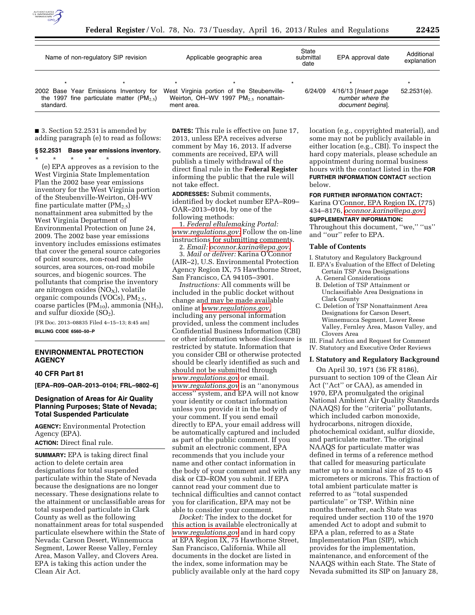

| Name of non-regulatory SIP revision |                                                                                           | Applicable geographic area |                                                                                                | State<br>submittal<br>date | EPA approval date                                             | Additional<br>explanation |
|-------------------------------------|-------------------------------------------------------------------------------------------|----------------------------|------------------------------------------------------------------------------------------------|----------------------------|---------------------------------------------------------------|---------------------------|
| standard.                           | 2002 Base Year Emissions Inventory for<br>the 1997 fine particulate matter ( $PM_{2.5}$ ) | ment area.                 | West Virginia portion of the Steubenville-<br>Weirton, OH-WV 1997 PM <sub>2.5</sub> nonattain- | 6/24/09                    | 4/16/13 [Insert page<br>number where the<br>document begins]. | $52.2531(e)$ .            |

■ 3. Section 52.2531 is amended by adding paragraph (e) to read as follows:

# **§ 52.2531 Base year emissions inventory.**

\* \* \* \* \* (e) EPA approves as a revision to the West Virginia State Implementation Plan the 2002 base year emissions inventory for the West Virginia portion of the Steubenville-Weirton, OH-WV fine particulate matter  $(PM_{2.5})$ nonattainment area submitted by the West Virginia Department of Environmental Protection on June 24, 2009. The 2002 base year emissions inventory includes emissions estimates that cover the general source categories of point sources, non-road mobile sources, area sources, on-road mobile sources, and biogenic sources. The pollutants that comprise the inventory are nitrogen oxides ( $NO<sub>X</sub>$ ), volatile organic compounds (VOCs), PM<sub>2.5</sub>, coarse particles  $(PM_{10})$ , ammonia  $(NH_3)$ , and sulfur dioxide  $(SO<sub>2</sub>)$ .

[FR Doc. 2013–08835 Filed 4–15–13; 8:45 am] **BILLING CODE 6560–50–P** 

### **ENVIRONMENTAL PROTECTION AGENCY**

### **40 CFR Part 81**

**[EPA–R09–OAR–2013–0104; FRL–9802–6]** 

### **Designation of Areas for Air Quality Planning Purposes; State of Nevada; Total Suspended Particulate**

**AGENCY:** Environmental Protection Agency (EPA).

**ACTION:** Direct final rule.

**SUMMARY:** EPA is taking direct final action to delete certain area designations for total suspended particulate within the State of Nevada because the designations are no longer necessary. These designations relate to the attainment or unclassifiable areas for total suspended particulate in Clark County as well as the following nonattainment areas for total suspended particulate elsewhere within the State of Nevada: Carson Desert, Winnemucca Segment, Lower Reese Valley, Fernley Area, Mason Valley, and Clovers Area. EPA is taking this action under the Clean Air Act.

**DATES:** This rule is effective on June 17, 2013, unless EPA receives adverse comment by May 16, 2013. If adverse comments are received, EPA will publish a timely withdrawal of the direct final rule in the **Federal Register**  informing the public that the rule will not take effect.

**ADDRESSES:** Submit comments, identified by docket number EPA–R09– OAR–2013–0104, by one of the following methods:

1. *Federal eRulemaking Portal: [www.regulations.gov:](http://www.regulations.gov)* Follow the on-line instructions for submitting comments.

2. *Email: [oconnor.karina@epa.gov](mailto:oconnor.karina@epa.gov)*. 3. *Mail or deliver:* Karina O'Connor (AIR–2), U.S. Environmental Protection Agency Region IX, 75 Hawthorne Street, San Francisco, CA 94105–3901.

*Instructions:* All comments will be included in the public docket without change and may be made available online at *[www.regulations.gov,](http://www.regulations.gov)*  including any personal information provided, unless the comment includes Confidential Business Information (CBI) or other information whose disclosure is restricted by statute. Information that you consider CBI or otherwise protected should be clearly identified as such and should not be submitted through *[www.regulations.gov](http://www.regulations.gov)* or email. *[www.regulations.gov](http://www.regulations.gov)* is an ''anonymous access'' system, and EPA will not know your identity or contact information unless you provide it in the body of your comment. If you send email directly to EPA, your email address will be automatically captured and included as part of the public comment. If you submit an electronic comment, EPA recommends that you include your name and other contact information in the body of your comment and with any disk or CD–ROM you submit. If EPA cannot read your comment due to technical difficulties and cannot contact you for clarification, EPA may not be able to consider your comment.

*Docket:* The index to the docket for this action is available electronically at *[www.regulations.gov](http://www.regulations.gov)* and in hard copy at EPA Region IX, 75 Hawthorne Street, San Francisco, California. While all documents in the docket are listed in the index, some information may be publicly available only at the hard copy location (e.g., copyrighted material), and some may not be publicly available in either location (e.g., CBI). To inspect the hard copy materials, please schedule an appointment during normal business hours with the contact listed in the **FOR FURTHER INFORMATION CONTACT** section below.

**FOR FURTHER INFORMATION CONTACT:** 

Karina O'Connor, EPA Region IX, (775) 434–8176, *[oconnor.karina@epa.gov](mailto:oconnor.karina@epa.gov)*.

#### **SUPPLEMENTARY INFORMATION:**

Throughout this document, ''we,'' ''us'' and ''our'' refer to EPA.

#### **Table of Contents**

I. Statutory and Regulatory Background

- II. EPA's Evaluation of the Effect of Deleting Certain TSP Area Designations
	- A. General Considerations B. Deletion of TSP Attainment or Unclassifiable Area Designations in Clark County
	- C. Deletion of TSP Nonattainment Area Designations for Carson Desert, Winnemucca Segment, Lower Reese Valley, Fernley Area, Mason Valley, and Clovers Area

III. Final Action and Request for Comment IV. Statutory and Executive Order Reviews

#### **I. Statutory and Regulatory Background**

On April 30, 1971 (36 FR 8186), pursuant to section 109 of the Clean Air Act (''Act'' or CAA), as amended in 1970, EPA promulgated the original National Ambient Air Quality Standards (NAAQS) for the ''criteria'' pollutants, which included carbon monoxide, hydrocarbons, nitrogen dioxide, photochemical oxidant, sulfur dioxide, and particulate matter. The original NAAQS for particulate matter was defined in terms of a reference method that called for measuring particulate matter up to a nominal size of 25 to 45 micrometers or microns. This fraction of total ambient particulate matter is referred to as ''total suspended particulate'' or TSP. Within nine months thereafter, each State was required under section 110 of the 1970 amended Act to adopt and submit to EPA a plan, referred to as a State Implementation Plan (SIP), which provides for the implementation, maintenance, and enforcement of the NAAQS within each State. The State of Nevada submitted its SIP on January 28,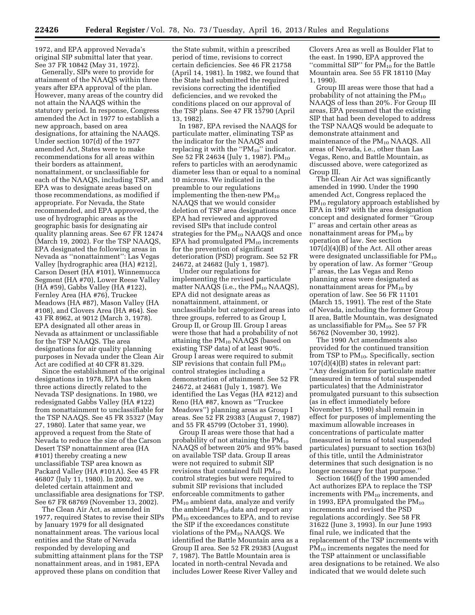1972, and EPA approved Nevada's original SIP submittal later that year. See 37 FR 10842 (May 31, 1972).

Generally, SIPs were to provide for attainment of the NAAQS within three years after EPA approval of the plan. However, many areas of the country did not attain the NAAQS within the statutory period. In response, Congress amended the Act in 1977 to establish a new approach, based on area designations, for attaining the NAAQS. Under section 107(d) of the 1977 amended Act, States were to make recommendations for all areas within their borders as attainment, nonattainment, or unclassifiable for each of the NAAQS, including TSP, and EPA was to designate areas based on those recommendations, as modified if appropriate. For Nevada, the State recommended, and EPA approved, the use of hydrographic areas as the geographic basis for designating air quality planning areas. See 67 FR 12474 (March 19, 2002). For the TSP NAAQS, EPA designated the following areas in Nevada as ''nonattainment'': Las Vegas Valley [hydrographic area (HA) #212], Carson Desert (HA #101), Winnemucca Segment (HA #70), Lower Reese Valley (HA #59), Gabbs Valley (HA #122), Fernley Area (HA #76), Truckee Meadows (HA #87), Mason Valley (HA #108), and Clovers Area (HA #64). See 43 FR 8962, at 9012 (March 3, 1978). EPA designated all other areas in Nevada as attainment or unclassifiable for the TSP NAAQS. The area designations for air quality planning purposes in Nevada under the Clean Air Act are codified at 40 CFR 81.329.

Since the establishment of the original designations in 1978, EPA has taken three actions directly related to the Nevada TSP designations. In 1980, we redesignated Gabbs Valley (HA #122) from nonattainment to unclassifiable for the TSP NAAQS. See 45 FR 35327 (May 27, 1980). Later that same year, we approved a request from the State of Nevada to reduce the size of the Carson Desert TSP nonattainment area (HA #101) thereby creating a new unclassifiable TSP area known as Packard Valley (HA #101A). See 45 FR 46807 (July 11, 1980). In 2002, we deleted certain attainment and unclassifiable area designations for TSP. See 67 FR 68769 (November 13, 2002).

The Clean Air Act, as amended in 1977, required States to revise their SIPs by January 1979 for all designated nonattainment areas. The various local entities and the State of Nevada responded by developing and submitting attainment plans for the TSP nonattainment areas, and in 1981, EPA approved these plans on condition that

the State submit, within a prescribed period of time, revisions to correct certain deficiencies. See 46 FR 21758 (April 14, 1981). In 1982, we found that the State had submitted the required revisions correcting the identified deficiencies, and we revoked the conditions placed on our approval of the TSP plans. See 47 FR 15790 (April 13, 1982).

In 1987, EPA revised the NAAQS for particulate matter, eliminating TSP as the indicator for the NAAQS and replacing it with the " $PM_{10}$ " indicator. See 52 FR 24634 (July 1, 1987). PM<sub>10</sub> refers to particles with an aerodynamic diameter less than or equal to a nominal 10 microns. We indicated in the preamble to our regulations implementing the then-new  $PM_{10}$ NAAQS that we would consider deletion of TSP area designations once EPA had reviewed and approved revised SIPs that include control strategies for the  $PM_{10}$  NAAQS and once EPA had promulgated  $PM_{10}$  increments for the prevention of significant deterioration (PSD) program. See 52 FR 24672, at 24682 (July 1, 1987).

Under our regulations for implementing the revised particulate matter NAAQS (i.e., the  $PM_{10}$  NAAQS), EPA did not designate areas as nonattainment, attainment, or unclassifiable but categorized areas into three groups, referred to as Group I, Group II, or Group III. Group I areas were those that had a probability of not attaining the  $PM_{10}$  NAAQS (based on existing TSP data) of at least 90%. Group I areas were required to submit SIP revisions that contain full  $PM_{10}$ control strategies including a demonstration of attainment. See 52 FR 24672, at 24681 (July 1, 1987). We identified the Las Vegas (HA #212) and Reno (HA #87, known as ''Truckee Meadows'') planning areas as Group I areas. See 52 FR 29383 (August 7, 1987) and 55 FR 45799 (October 31, 1990).

Group II areas were those that had a probability of not attaining the  $PM_{10}$ NAAQS of between 20% and 95% based on available TSP data. Group II areas were not required to submit SIP revisions that contained full  $PM_{10}$ control strategies but were required to submit SIP revisions that included enforceable commitments to gather PM10 ambient data, analyze and verify the ambient  $PM_{10}$  data and report any PM<sub>10</sub> exceedances to EPA, and to revise the SIP if the exceedances constitute violations of the  $PM_{10}$  NAAQS. We identified the Battle Mountain area as a Group II area. See 52 FR 29383 (August 7, 1987). The Battle Mountain area is located in north-central Nevada and includes Lower Reese River Valley and

Clovers Area as well as Boulder Flat to the east. In 1990, EPA approved the "committal SIP" for  $PM_{10}$  for the Battle Mountain area. See 55 FR 18110 (May 1, 1990).

Group III areas were those that had a probability of not attaining the  $PM_{10}$ NAAQS of less than 20%. For Group III areas, EPA presumed that the existing SIP that had been developed to address the TSP NAAQS would be adequate to demonstrate attainment and maintenance of the PM<sub>10</sub> NAAQS. All areas of Nevada, i.e., other than Las Vegas, Reno, and Battle Mountain, as discussed above, were categorized as Group III.

The Clean Air Act was significantly amended in 1990. Under the 1990 amended Act, Congress replaced the PM<sub>10</sub> regulatory approach established by EPA in 1987 with the area designation concept and designated former ''Group I'' areas and certain other areas as nonattainment areas for PM<sub>10</sub> by operation of law. See section  $107(d)(4)(B)$  of the Act. All other areas were designated unclassifiable for  $PM_{10}$ by operation of law. As former ''Group I'' areas, the Las Vegas and Reno planning areas were designated as nonattainment areas for  $PM_{10}$  by operation of law. See 56 FR 11101 (March 15, 1991). The rest of the State of Nevada, including the former Group II area, Battle Mountain, was designated as unclassifiable for  $PM_{10}$ . See 57 FR 56762 (November 30, 1992).

The 1990 Act amendments also provided for the continued transition from TSP to  $PM_{10}$ . Specifically, section 107(d)(4)(B) states in relevant part: ''Any designation for particulate matter (measured in terms of total suspended particulates) that the Administrator promulgated pursuant to this subsection (as in effect immediately before November 15, 1990) shall remain in effect for purposes of implementing the maximum allowable increases in concentrations of particulate matter (measured in terms of total suspended particulates) pursuant to section 163(b) of this title, until the Administrator determines that such designation is no longer necessary for that purpose.''

Section 166(f) of the 1990 amended Act authorizes EPA to replace the TSP increments with  $PM_{10}$  increments, and in 1993, EPA promulgated the  $PM_{10}$ increments and revised the PSD regulations accordingly. See 58 FR 31622 (June 3, 1993). In our June 1993 final rule, we indicated that the replacement of the TSP increments with PM10 increments negates the need for the TSP attainment or unclassifiable area designations to be retained. We also indicated that we would delete such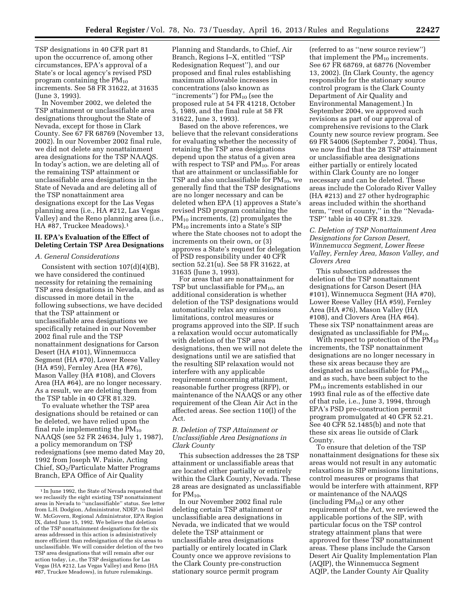TSP designations in 40 CFR part 81 upon the occurrence of, among other circumstances, EPA's approval of a State's or local agency's revised PSD program containing the  $PM_{10}$ increments. See 58 FR 31622, at 31635 (June 3, 1993).

In November 2002, we deleted the TSP attainment or unclassifiable area designations throughout the State of Nevada, except for those in Clark County. See 67 FR 68769 (November 13, 2002). In our November 2002 final rule, we did not delete any nonattainment area designations for the TSP NAAQS. In today's action, we are deleting all of the remaining TSP attainment or unclassifiable area designations in the State of Nevada and are deleting all of the TSP nonattainment area designations except for the Las Vegas planning area (i.e., HA #212, Las Vegas Valley) and the Reno planning area (i.e., HA #87, Truckee Meadows).1

## **II. EPA's Evaluation of the Effect of Deleting Certain TSP Area Designations**

### *A. General Considerations*

Consistent with section 107(d)(4)(B), we have considered the continued necessity for retaining the remaining TSP area designations in Nevada, and as discussed in more detail in the following subsections, we have decided that the TSP attainment or unclassifiable area designations we specifically retained in our November 2002 final rule and the TSP nonattainment designations for Carson Desert (HA #101), Winnemucca Segment (HA #70), Lower Reese Valley (HA #59), Fernley Area (HA #76), Mason Valley (HA #108), and Clovers Area (HA #64), are no longer necessary. As a result, we are deleting them from the TSP table in 40 CFR 81.329.

To evaluate whether the TSP area designations should be retained or can be deleted, we have relied upon the final rule implementing the  $PM_{10}$ NAAQS (see 52 FR 24634, July 1, 1987), a policy memorandum on TSP redesignations (see memo dated May 20, 1992 from Joseph W. Paisie, Acting Chief, SO2/Particulate Matter Programs Branch, EPA Office of Air Quality

Planning and Standards, to Chief, Air Branch, Regions I–X, entitled ''TSP Redesignation Request''), and our proposed and final rules establishing maximum allowable increases in concentrations (also known as "increments") for  $PM_{10}$  (see the proposed rule at 54 FR 41218, October 5, 1989, and the final rule at 58 FR 31622, June 3, 1993).

Based on the above references, we believe that the relevant considerations for evaluating whether the necessity of retaining the TSP area designations depend upon the status of a given area with respect to TSP and  $PM_{10}$ . For areas that are attainment or unclassifiable for TSP and also unclassifiable for  $PM_{10}$ , we generally find that the TSP designations are no longer necessary and can be deleted when EPA (1) approves a State's revised PSD program containing the PM10 increments, (2) promulgates the PM<sub>10</sub> increments into a State's SIP where the State chooses not to adopt the increments on their own, or (3) approves a State's request for delegation of PSD responsibility under 40 CFR section 52.21(u). See 58 FR 31622, at 31635 (June 3, 1993).

For areas that are nonattainment for TSP but unclassifiable for  $PM_{10}$ , an additional consideration is whether deletion of the TSP designations would automatically relax any emissions limitations, control measures or programs approved into the SIP. If such a relaxation would occur automatically with deletion of the TSP area designations, then we will not delete the designations until we are satisfied that the resulting SIP relaxation would not interfere with any applicable requirement concerning attainment, reasonable further progress (RFP), or maintenance of the NAAQS or any other requirement of the Clean Air Act in the affected areas. See section 110(l) of the Act.

## *B. Deletion of TSP Attainment or Unclassifiable Area Designations in Clark County*

This subsection addresses the 28 TSP attainment or unclassifiable areas that are located either partially or entirely within the Clark County, Nevada. These 28 areas are designated as unclassifiable for PM<sub>10</sub>.

In our November 2002 final rule deleting certain TSP attainment or unclassifiable area designations in Nevada, we indicated that we would delete the TSP attainment or unclassifiable area designations partially or entirely located in Clark County once we approve revisions to the Clark County pre-construction stationary source permit program

(referred to as ''new source review'') that implement the  $PM_{10}$  increments. See 67 FR 68769, at 68776 (November 13, 2002). (In Clark County, the agency responsible for the stationary source control program is the Clark County Department of Air Quality and Environmental Management.) In September 2004, we approved such revisions as part of our approval of comprehensive revisions to the Clark County new source review program. See 69 FR 54006 (September 7, 2004). Thus, we now find that the 28 TSP attainment or unclassifiable area designations either partially or entirely located within Clark County are no longer necessary and can be deleted. These areas include the Colorado River Valley (HA #213) and 27 other hydrographic areas included within the shorthand term, ''rest of county,'' in the ''Nevada-TSP'' table in 40 CFR 81.329.

## *C. Deletion of TSP Nonattainment Area Designations for Carson Desert, Winnemucca Segment, Lower Reese Valley, Fernley Area, Mason Valley, and Clovers Area*

This subsection addresses the deletion of the TSP nonattainment designations for Carson Desert (HA #101), Winnemucca Segment (HA #70), Lower Reese Valley (HA #59), Fernley Area (HA #76), Mason Valley (HA #108), and Clovers Area (HA #64). These six TSP nonattainment areas are designated as unclassifiable for  $PM_{10}$ .

With respect to protection of the  $PM_{10}$ increments, the TSP nonattainment designations are no longer necessary in these six areas because they are designated as unclassifiable for  $PM_{10}$ , and as such, have been subject to the PM10 increments established in our 1993 final rule as of the effective date of that rule, i.e., June 3, 1994, through EPA's PSD pre-construction permit program promulgated at 40 CFR 52.21. See 40 CFR 52.1485(b) and note that these six areas lie outside of Clark County.

To ensure that deletion of the TSP nonattainment designations for these six areas would not result in any automatic relaxations in SIP emissions limitations, control measures or programs that would be interfere with attainment, RFP or maintenance of the NAAQS  $(including PM<sub>10</sub>)$  or any other requirement of the Act, we reviewed the applicable portions of the SIP, with particular focus on the TSP control strategy attainment plans that were approved for these TSP nonattainment areas. These plans include the Carson Desert Air Quality Implementation Plan (AQIP), the Winnemucca Segment AQIP, the Lander County Air Quality

<sup>&</sup>lt;sup>1</sup> In June 1992, the State of Nevada requested that we reclassify the eight existing TSP nonattainment areas in Nevada to ''unclassifiable'' status. See letter from L.H. Dodgion, Administrator, NDEP, to Daniel W. McGovern, Regional Administrator, EPA Region IX, dated June 15, 1992. We believe that deletion of the TSP nonattainment designations for the six areas addressed in this action is administratively more efficient than redesignation of the six areas to unclassifiable. We will consider deletion of the two TSP area designations that will remain after our action today, i.e., the TSP designations for Las Vegas (HA #212, Las Vegas Valley) and Reno (HA #87, Truckee Meadows), in future rulemakings.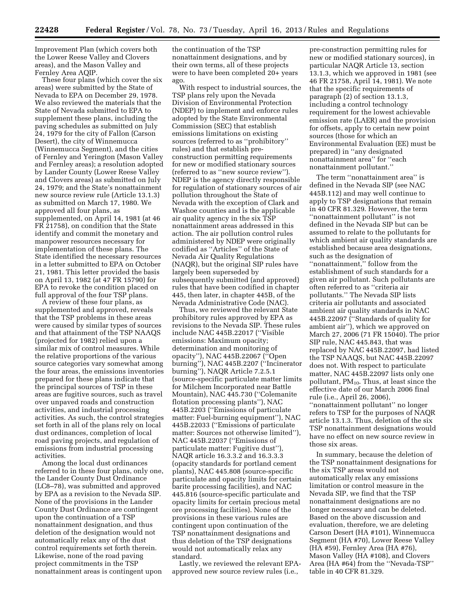Improvement Plan (which covers both the Lower Reese Valley and Clovers areas), and the Mason Valley and Fernley Area AQIP.

These four plans (which cover the six areas) were submitted by the State of Nevada to EPA on December 29, 1978. We also reviewed the materials that the State of Nevada submitted to EPA to supplement these plans, including the paving schedules as submitted on July 24, 1979 for the city of Fallon (Carson Desert), the city of Winnemucca (Winnemucca Segment), and the cities of Fernley and Yerington (Mason Valley and Fernley areas); a resolution adopted by Lander County (Lower Reese Valley and Clovers areas) as submitted on July 24, 1979; and the State's nonattainment new source review rule (Article 13.1.3) as submitted on March 17, 1980. We approved all four plans, as supplemented, on April 14, 1981 (at 46 FR 21758), on condition that the State identify and commit the monetary and manpower resources necessary for implementation of these plans. The State identified the necessary resources in a letter submitted to EPA on October 21, 1981. This letter provided the basis on April 13, 1982 (at 47 FR 15790) for EPA to revoke the condition placed on full approval of the four TSP plans.

A review of these four plans, as supplemented and approved, reveals that the TSP problems in these areas were caused by similar types of sources and that attainment of the TSP NAAQS (projected for 1982) relied upon a similar mix of control measures. While the relative proportions of the various source categories vary somewhat among the four areas, the emissions inventories prepared for these plans indicate that the principal sources of TSP in these areas are fugitive sources, such as travel over unpaved roads and construction activities, and industrial processing activities. As such, the control strategies set forth in all of the plans rely on local dust ordinances, completion of local road paving projects, and regulation of emissions from industrial processing activities.

Among the local dust ordinances referred to in these four plans, only one, the Lander County Dust Ordinance (LC8–78), was submitted and approved by EPA as a revision to the Nevada SIP. None of the provisions in the Lander County Dust Ordinance are contingent upon the continuation of a TSP nonattainment designation, and thus deletion of the designation would not automatically relax any of the dust control requirements set forth therein. Likewise, none of the road paving project commitments in the TSP nonattainment areas is contingent upon

the continuation of the TSP nonattainment designations, and by their own terms, all of these projects were to have been completed 20+ years ago.

With respect to industrial sources, the TSP plans rely upon the Nevada Division of Environmental Protection (NDEP) to implement and enforce rules adopted by the State Environmental Commission (SEC) that establish emissions limitations on existing sources (referred to as ''prohibitory'' rules) and that establish preconstruction permitting requirements for new or modified stationary sources (referred to as ''new source review''). NDEP is the agency directly responsible for regulation of stationary sources of air pollution throughout the State of Nevada with the exception of Clark and Washoe counties and is the applicable air quality agency in the six TSP nonattainment areas addressed in this action. The air pollution control rules administered by NDEP were originally codified as ''Articles'' of the State of Nevada Air Quality Regulations (NAQR), but the original SIP rules have largely been superseded by subsequently submitted (and approved) rules that have been codified in chapter 445, then later, in chapter 445B, of the Nevada Administrative Code (NAC).

Thus, we reviewed the relevant State prohibitory rules approved by EPA as revisions to the Nevada SIP. These rules include NAC 445B.22017 (''Visible emissions: Maximum opacity; determination and monitoring of opacity''), NAC 445B.22067 (''Open burning''), NAC 445B.2207 (''Incinerator burning''), NAQR Article 7.2.5.1 (source-specific particulate matter limits for Milchem Incorporated near Battle Mountain), NAC 445.730 (''Colemanite flotation processing plants''), NAC 445B.2203 (''Emissions of particulate matter: Fuel-burning equipment''), NAC 445B.22033 (''Emissions of particulate matter: Sources not otherwise limited''), NAC 445B.22037 (''Emissions of particulate matter: Fugitive dust''), NAQR article 16.3.3.2 and 16.3.3.3 (opacity standards for portland cement plants), NAC 445.808 (source-specific particulate and opacity limits for certain barite processing facilities), and NAC 445.816 (source-specific particulate and opacity limits for certain precious metal ore processing facilities). None of the provisions in these various rules are contingent upon continuation of the TSP nonattainment designations and thus deletion of the TSP designations would not automatically relax any standard.

Lastly, we reviewed the relevant EPAapproved new source review rules (i.e.,

pre-construction permitting rules for new or modified stationary sources), in particular NAQR Article 13, section 13.1.3, which we approved in 1981 (see 46 FR 21758, April 14, 1981). We note that the specific requirements of paragraph (2) of section 13.1.3, including a control technology requirement for the lowest achievable emission rate (LAER) and the provision for offsets, apply to certain new point sources (those for which an Environmental Evaluation (EE) must be prepared) in ''any designated nonattainment area'' for ''each nonattainment pollutant.''

The term ''nonattainment area'' is defined in the Nevada SIP (see NAC 445B.112) and may well continue to apply to TSP designations that remain in 40 CFR 81.329. However, the term ''nonattainment pollutant'' is not defined in the Nevada SIP but can be assumed to relate to the pollutants for which ambient air quality standards are established because area designations, such as the designation of ''nonattainment,'' follow from the establishment of such standards for a given air pollutant. Such pollutants are often referred to as ''criteria air pollutants.'' The Nevada SIP lists criteria air pollutants and associated ambient air quality standards in NAC 445B.22097 (''Standards of quality for ambient air''), which we approved on March 27, 2006 (71 FR 15040). The prior SIP rule, NAC 445.843, that was replaced by NAC 445B.22097, had listed the TSP NAAQS, but NAC 445B.22097 does not. With respect to particulate matter, NAC 445B.22097 lists only one pollutant,  $PM_{10}$ . Thus, at least since the effective date of our March 2006 final rule (i.e., April 26, 2006),

''nonattainment pollutant'' no longer refers to TSP for the purposes of NAQR article 13.1.3. Thus, deletion of the six TSP nonattainment designations would have no effect on new source review in those six areas.

In summary, because the deletion of the TSP nonattainment designations for the six TSP areas would not automatically relax any emissions limitation or control measure in the Nevada SIP, we find that the TSP nonattainment designations are no longer necessary and can be deleted. Based on the above discussion and evaluation, therefore, we are deleting Carson Desert (HA #101), Winnemucca Segment (HA #70), Lower Reese Valley (HA #59), Fernley Area (HA #76), Mason Valley (HA #108), and Clovers Area (HA #64) from the ''Nevada-TSP'' table in 40 CFR 81.329.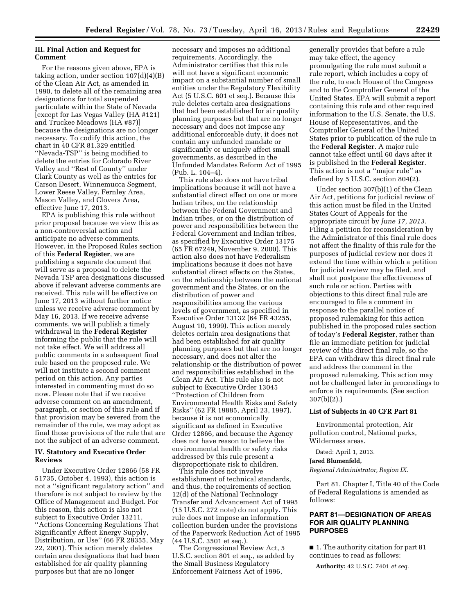## **III. Final Action and Request for Comment**

For the reasons given above, EPA is taking action, under section  $107(d)(4)(B)$ of the Clean Air Act, as amended in 1990, to delete all of the remaining area designations for total suspended particulate within the State of Nevada [except for Las Vegas Valley (HA #121) and Truckee Meadows (HA #87)] because the designations are no longer necessary. To codify this action, the chart in 40 CFR 81.329 entitled ''Nevada-TSP'' is being modified to delete the entries for Colorado River Valley and ''Rest of County'' under Clark County as well as the entries for Carson Desert, Winnemucca Segment, Lower Reese Valley, Fernley Area, Mason Valley, and Clovers Area, effective June 17, 2013.

EPA is publishing this rule without prior proposal because we view this as a non-controversial action and anticipate no adverse comments. However, in the Proposed Rules section of this **Federal Register**, we are publishing a separate document that will serve as a proposal to delete the Nevada TSP area designations discussed above if relevant adverse comments are received. This rule will be effective on June 17, 2013 without further notice unless we receive adverse comment by May 16, 2013. If we receive adverse comments, we will publish a timely withdrawal in the **Federal Register**  informing the public that the rule will not take effect. We will address all public comments in a subsequent final rule based on the proposed rule. We will not institute a second comment period on this action. Any parties interested in commenting must do so now. Please note that if we receive adverse comment on an amendment, paragraph, or section of this rule and if that provision may be severed from the remainder of the rule, we may adopt as final those provisions of the rule that are not the subject of an adverse comment.

## **IV. Statutory and Executive Order Reviews**

Under Executive Order 12866 (58 FR 51735, October 4, 1993), this action is not a ''significant regulatory action'' and therefore is not subject to review by the Office of Management and Budget. For this reason, this action is also not subject to Executive Order 13211, ''Actions Concerning Regulations That Significantly Affect Energy Supply, Distribution, or Use'' (66 FR 28355, May 22, 2001). This action merely deletes certain area designations that had been established for air quality planning purposes but that are no longer

necessary and imposes no additional requirements. Accordingly, the Administrator certifies that this rule will not have a significant economic impact on a substantial number of small entities under the Regulatory Flexibility Act (5 U.S.C. 601 et seq.). Because this rule deletes certain area designations that had been established for air quality planning purposes but that are no longer necessary and does not impose any additional enforceable duty, it does not contain any unfunded mandate or significantly or uniquely affect small governments, as described in the Unfunded Mandates Reform Act of 1995 (Pub. L. 104–4).

This rule also does not have tribal implications because it will not have a substantial direct effect on one or more Indian tribes, on the relationship between the Federal Government and Indian tribes, or on the distribution of power and responsibilities between the Federal Government and Indian tribes, as specified by Executive Order 13175 (65 FR 67249, November 9, 2000). This action also does not have Federalism implications because it does not have substantial direct effects on the States, on the relationship between the national government and the States, or on the distribution of power and responsibilities among the various levels of government, as specified in Executive Order 13132 (64 FR 43255, August 10, 1999). This action merely deletes certain area designations that had been established for air quality planning purposes but that are no longer necessary, and does not alter the relationship or the distribution of power and responsibilities established in the Clean Air Act. This rule also is not subject to Executive Order 13045 ''Protection of Children from Environmental Health Risks and Safety Risks'' (62 FR 19885, April 23, 1997), because it is not economically significant as defined in Executive Order 12866, and because the Agency does not have reason to believe the environmental health or safety risks addressed by this rule present a disproportionate risk to children.

This rule does not involve establishment of technical standards, and thus, the requirements of section 12(d) of the National Technology Transfer and Advancement Act of 1995 (15 U.S.C. 272 note) do not apply. This rule does not impose an information collection burden under the provisions of the Paperwork Reduction Act of 1995 (44 U.S.C. 3501 et seq.).

The Congressional Review Act, 5 U.S.C. section 801 et seq., as added by the Small Business Regulatory Enforcement Fairness Act of 1996,

generally provides that before a rule may take effect, the agency promulgating the rule must submit a rule report, which includes a copy of the rule, to each House of the Congress and to the Comptroller General of the United States. EPA will submit a report containing this rule and other required information to the U.S. Senate, the U.S. House of Representatives, and the Comptroller General of the United States prior to publication of the rule in the **Federal Register**. A major rule cannot take effect until 60 days after it is published in the **Federal Register**. This action is not a ''major rule'' as defined by 5 U.S.C. section 804(2).

Under section 307(b)(1) of the Clean Air Act, petitions for judicial review of this action must be filed in the United States Court of Appeals for the appropriate circuit by *June 17, 2013.*  Filing a petition for reconsideration by the Administrator of this final rule does not affect the finality of this rule for the purposes of judicial review nor does it extend the time within which a petition for judicial review may be filed, and shall not postpone the effectiveness of such rule or action. Parties with objections to this direct final rule are encouraged to file a comment in response to the parallel notice of proposed rulemaking for this action published in the proposed rules section of today's **Federal Register**, rather than file an immediate petition for judicial review of this direct final rule, so the EPA can withdraw this direct final rule and address the comment in the proposed rulemaking. This action may not be challenged later in proceedings to enforce its requirements. (See section 307(b)(2).)

#### **List of Subjects in 40 CFR Part 81**

Environmental protection, Air pollution control, National parks, Wilderness areas.

Dated: April 1, 2013.

#### **Jared Blumenfeld,**

*Regional Administrator, Region IX.* 

Part 81, Chapter I, Title 40 of the Code of Federal Regulations is amended as follows:

## **PART 81—DESIGNATION OF AREAS FOR AIR QUALITY PLANNING PURPOSES**

■ 1. The authority citation for part 81 continues to read as follows:

**Authority:** 42 U.S.C. 7401 *et seq.*